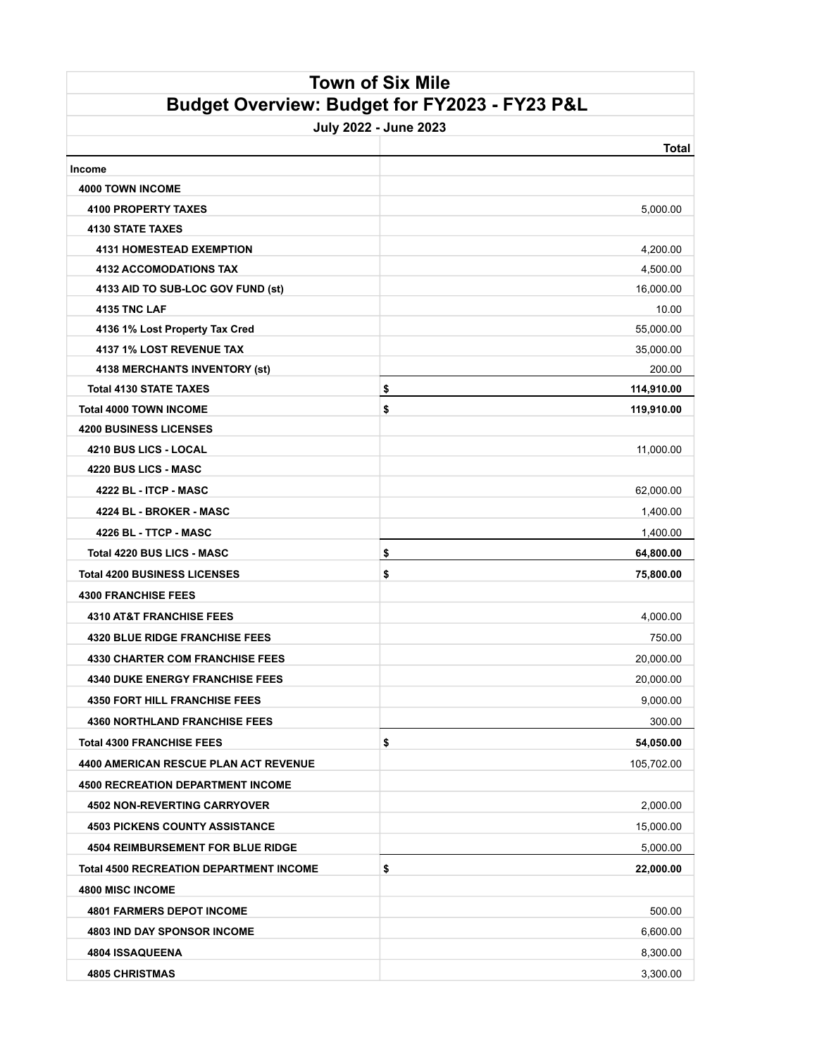|                                                | <b>Town of Six Mile</b>                       |        |
|------------------------------------------------|-----------------------------------------------|--------|
|                                                | Budget Overview: Budget for FY2023 - FY23 P&L |        |
| July 2022 - June 2023                          |                                               |        |
|                                                |                                               | Total  |
| <b>Income</b>                                  |                                               |        |
| <b>4000 TOWN INCOME</b>                        |                                               |        |
| <b>4100 PROPERTY TAXES</b>                     | 5,000.00                                      |        |
| <b>4130 STATE TAXES</b>                        |                                               |        |
| <b>4131 HOMESTEAD EXEMPTION</b>                | 4,200.00                                      |        |
| <b>4132 ACCOMODATIONS TAX</b>                  | 4,500.00                                      |        |
| 4133 AID TO SUB-LOC GOV FUND (st)              | 16,000.00                                     |        |
| <b>4135 TNC LAF</b>                            |                                               | 10.00  |
| 4136 1% Lost Property Tax Cred                 | 55,000.00                                     |        |
| 4137 1% LOST REVENUE TAX                       | 35,000.00                                     |        |
| 4138 MERCHANTS INVENTORY (st)                  |                                               | 200.00 |
| <b>Total 4130 STATE TAXES</b>                  | 114,910.00<br>\$                              |        |
| <b>Total 4000 TOWN INCOME</b>                  | \$<br>119,910.00                              |        |
| <b>4200 BUSINESS LICENSES</b>                  |                                               |        |
| 4210 BUS LICS - LOCAL                          | 11,000.00                                     |        |
| 4220 BUS LICS - MASC                           |                                               |        |
| 4222 BL - ITCP - MASC                          | 62,000.00                                     |        |
| 4224 BL - BROKER - MASC                        | 1,400.00                                      |        |
| 4226 BL - TTCP - MASC                          | 1,400.00                                      |        |
| Total 4220 BUS LICS - MASC                     | \$<br>64,800.00                               |        |
| <b>Total 4200 BUSINESS LICENSES</b>            | \$<br>75,800.00                               |        |
| <b>4300 FRANCHISE FEES</b>                     |                                               |        |
| <b>4310 AT&amp;T FRANCHISE FEES</b>            | 4,000.00                                      |        |
| <b>4320 BLUE RIDGE FRANCHISE FEES</b>          |                                               | 750.00 |
| <b>4330 CHARTER COM FRANCHISE FEES</b>         | 20,000.00                                     |        |
| <b>4340 DUKE ENERGY FRANCHISE FEES</b>         | 20,000.00                                     |        |
| <b>4350 FORT HILL FRANCHISE FEES</b>           | 9,000.00                                      |        |
| <b>4360 NORTHLAND FRANCHISE FEES</b>           |                                               | 300.00 |
| <b>Total 4300 FRANCHISE FEES</b>               | \$<br>54,050.00                               |        |
| <b>4400 AMERICAN RESCUE PLAN ACT REVENUE</b>   | 105,702.00                                    |        |
| <b>4500 RECREATION DEPARTMENT INCOME</b>       |                                               |        |
| <b>4502 NON-REVERTING CARRYOVER</b>            | 2,000.00                                      |        |
| <b>4503 PICKENS COUNTY ASSISTANCE</b>          | 15,000.00                                     |        |
| <b>4504 REIMBURSEMENT FOR BLUE RIDGE</b>       | 5,000.00                                      |        |
| <b>Total 4500 RECREATION DEPARTMENT INCOME</b> | \$<br>22,000.00                               |        |
| <b>4800 MISC INCOME</b>                        |                                               |        |
| <b>4801 FARMERS DEPOT INCOME</b>               |                                               | 500.00 |
| <b>4803 IND DAY SPONSOR INCOME</b>             | 6,600.00                                      |        |
| <b>4804 ISSAQUEENA</b>                         | 8,300.00                                      |        |
| <b>4805 CHRISTMAS</b>                          | 3,300.00                                      |        |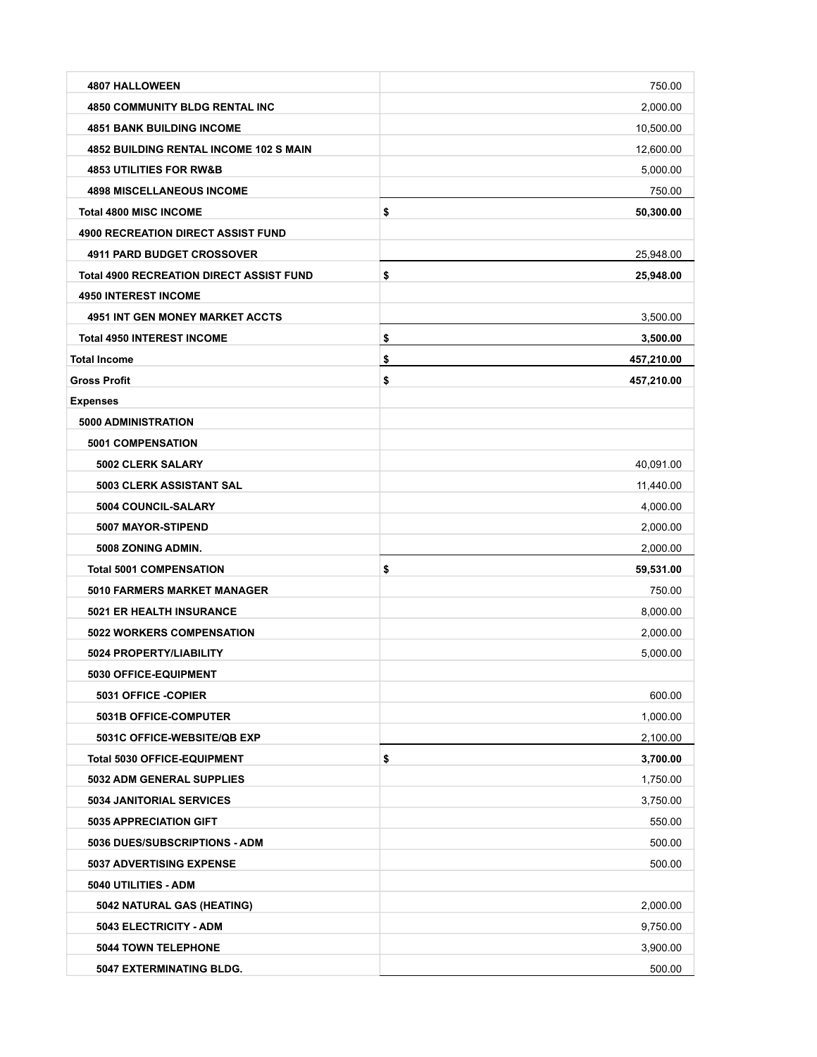| <b>4807 HALLOWEEN</b>                           | 750.00           |
|-------------------------------------------------|------------------|
| <b>4850 COMMUNITY BLDG RENTAL INC</b>           | 2,000.00         |
| <b>4851 BANK BUILDING INCOME</b>                | 10,500.00        |
| 4852 BUILDING RENTAL INCOME 102 S MAIN          | 12,600.00        |
| <b>4853 UTILITIES FOR RW&amp;B</b>              | 5,000.00         |
| <b>4898 MISCELLANEOUS INCOME</b>                | 750.00           |
| <b>Total 4800 MISC INCOME</b>                   | \$<br>50,300.00  |
| <b>4900 RECREATION DIRECT ASSIST FUND</b>       |                  |
| <b>4911 PARD BUDGET CROSSOVER</b>               | 25,948.00        |
| <b>Total 4900 RECREATION DIRECT ASSIST FUND</b> | \$<br>25,948.00  |
| <b>4950 INTEREST INCOME</b>                     |                  |
| <b>4951 INT GEN MONEY MARKET ACCTS</b>          | 3,500.00         |
| <b>Total 4950 INTEREST INCOME</b>               | \$<br>3,500.00   |
| <b>Total Income</b>                             | \$<br>457,210.00 |
| <b>Gross Profit</b>                             | \$<br>457,210.00 |
| <b>Expenses</b>                                 |                  |
| 5000 ADMINISTRATION                             |                  |
| <b>5001 COMPENSATION</b>                        |                  |
| 5002 CLERK SALARY                               | 40,091.00        |
| <b>5003 CLERK ASSISTANT SAL</b>                 | 11,440.00        |
| 5004 COUNCIL-SALARY                             | 4,000.00         |
| 5007 MAYOR-STIPEND                              | 2,000.00         |
| 5008 ZONING ADMIN.                              | 2,000.00         |
| <b>Total 5001 COMPENSATION</b>                  | \$<br>59,531.00  |
| <b>5010 FARMERS MARKET MANAGER</b>              | 750.00           |
| <b>5021 ER HEALTH INSURANCE</b>                 | 8,000.00         |
| <b>5022 WORKERS COMPENSATION</b>                | 2,000.00         |
| 5024 PROPERTY/LIABILITY                         | 5,000.00         |
| <b>5030 OFFICE-EQUIPMENT</b>                    |                  |
| 5031 OFFICE -COPIER                             | 600.00           |
| 5031B OFFICE-COMPUTER                           | 1,000.00         |
| 5031C OFFICE-WEBSITE/QB EXP                     | 2,100.00         |
| <b>Total 5030 OFFICE-EQUIPMENT</b>              | \$<br>3,700.00   |
| <b>5032 ADM GENERAL SUPPLIES</b>                | 1,750.00         |
| <b>5034 JANITORIAL SERVICES</b>                 | 3,750.00         |
| 5035 APPRECIATION GIFT                          | 550.00           |
| 5036 DUES/SUBSCRIPTIONS - ADM                   | 500.00           |
| <b>5037 ADVERTISING EXPENSE</b>                 | 500.00           |
| 5040 UTILITIES - ADM                            |                  |
| 5042 NATURAL GAS (HEATING)                      | 2,000.00         |
| 5043 ELECTRICITY - ADM                          | 9,750.00         |
| <b>5044 TOWN TELEPHONE</b>                      | 3,900.00         |
| 5047 EXTERMINATING BLDG.                        | 500.00           |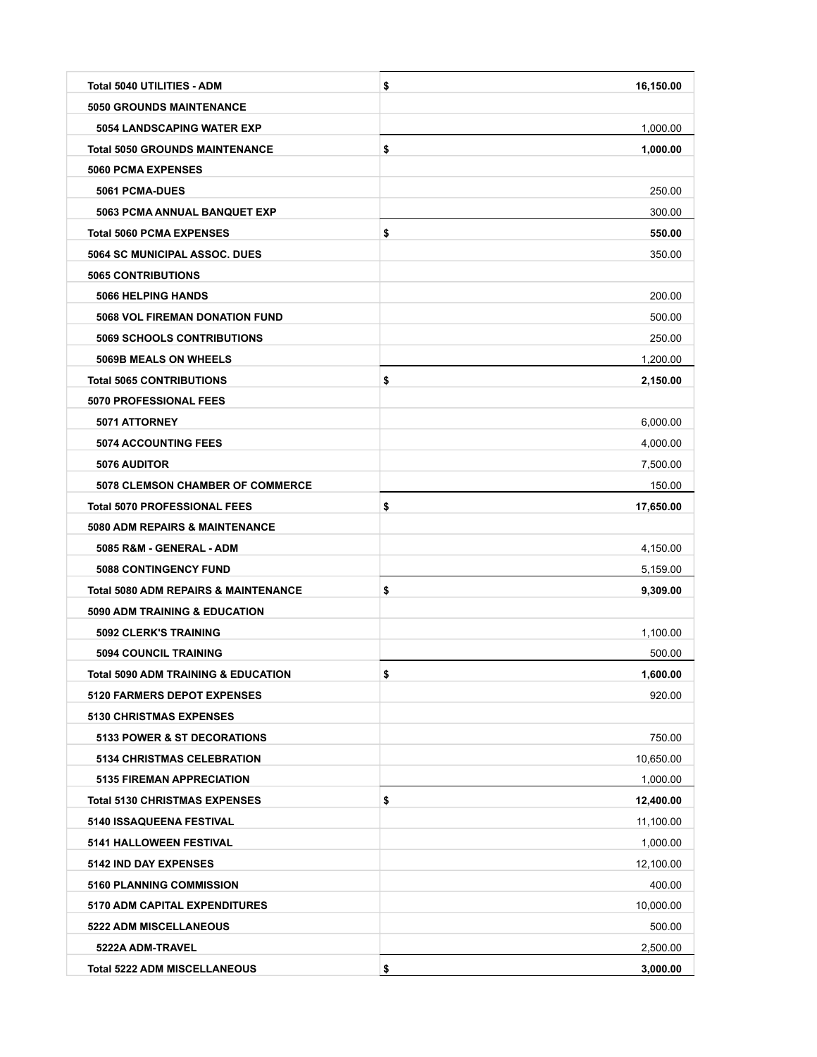| <b>Total 5040 UTILITIES - ADM</b>               | \$<br>16,150.00 |
|-------------------------------------------------|-----------------|
| <b>5050 GROUNDS MAINTENANCE</b>                 |                 |
| <b>5054 LANDSCAPING WATER EXP</b>               | 1,000.00        |
| <b>Total 5050 GROUNDS MAINTENANCE</b>           | \$<br>1,000.00  |
| <b>5060 PCMA EXPENSES</b>                       |                 |
| 5061 PCMA-DUES                                  | 250.00          |
| <b>5063 PCMA ANNUAL BANQUET EXP</b>             | 300.00          |
| <b>Total 5060 PCMA EXPENSES</b>                 | \$<br>550.00    |
| 5064 SC MUNICIPAL ASSOC. DUES                   | 350.00          |
| <b>5065 CONTRIBUTIONS</b>                       |                 |
| <b>5066 HELPING HANDS</b>                       | 200.00          |
| <b>5068 VOL FIREMAN DONATION FUND</b>           | 500.00          |
| <b>5069 SCHOOLS CONTRIBUTIONS</b>               | 250.00          |
| <b>5069B MEALS ON WHEELS</b>                    | 1,200.00        |
| <b>Total 5065 CONTRIBUTIONS</b>                 | \$<br>2,150.00  |
| 5070 PROFESSIONAL FEES                          |                 |
| 5071 ATTORNEY                                   | 6,000.00        |
| <b>5074 ACCOUNTING FEES</b>                     | 4,000.00        |
| 5076 AUDITOR                                    | 7,500.00        |
| <b>5078 CLEMSON CHAMBER OF COMMERCE</b>         | 150.00          |
| <b>Total 5070 PROFESSIONAL FEES</b>             | \$<br>17,650.00 |
| <b>5080 ADM REPAIRS &amp; MAINTENANCE</b>       |                 |
| 5085 R&M - GENERAL - ADM                        | 4,150.00        |
| <b>5088 CONTINGENCY FUND</b>                    | 5,159.00        |
| <b>Total 5080 ADM REPAIRS &amp; MAINTENANCE</b> | \$<br>9,309.00  |
| <b>5090 ADM TRAINING &amp; EDUCATION</b>        |                 |
| <b>5092 CLERK'S TRAINING</b>                    | 1,100.00        |
| <b>5094 COUNCIL TRAINING</b>                    | 500.00          |
| Total 5090 ADM TRAINING & EDUCATION             | \$<br>1,600.00  |
| <b>5120 FARMERS DEPOT EXPENSES</b>              | 920.00          |
| <b>5130 CHRISTMAS EXPENSES</b>                  |                 |
| 5133 POWER & ST DECORATIONS                     | 750.00          |
| 5134 CHRISTMAS CELEBRATION                      | 10,650.00       |
| <b>5135 FIREMAN APPRECIATION</b>                | 1,000.00        |
| <b>Total 5130 CHRISTMAS EXPENSES</b>            | \$<br>12,400.00 |
| 5140 ISSAQUEENA FESTIVAL                        | 11,100.00       |
| <b>5141 HALLOWEEN FESTIVAL</b>                  | 1,000.00        |
| 5142 IND DAY EXPENSES                           | 12,100.00       |
| <b>5160 PLANNING COMMISSION</b>                 | 400.00          |
| <b>5170 ADM CAPITAL EXPENDITURES</b>            | 10,000.00       |
| <b>5222 ADM MISCELLANEOUS</b>                   | 500.00          |
| 5222A ADM-TRAVEL                                | 2,500.00        |
| <b>Total 5222 ADM MISCELLANEOUS</b>             | \$<br>3,000.00  |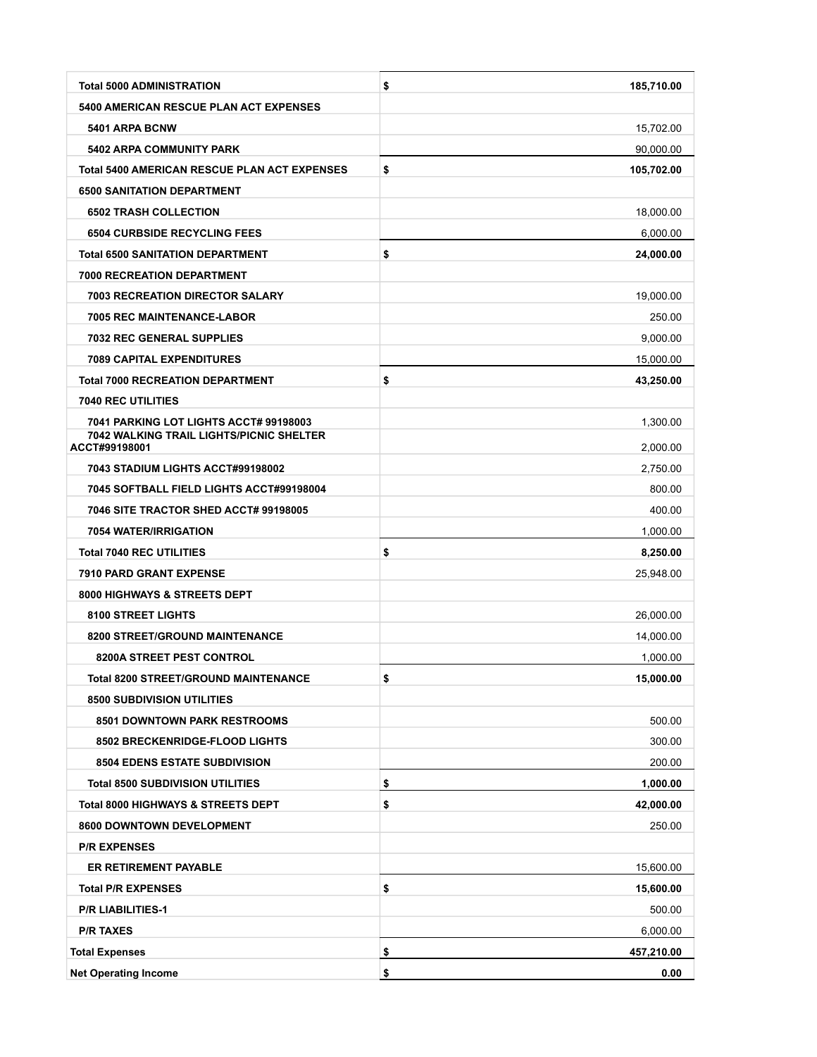| <b>5400 AMERICAN RESCUE PLAN ACT EXPENSES</b><br>5401 ARPA BCNW<br><b>5402 ARPA COMMUNITY PARK</b><br><b>Total 5400 AMERICAN RESCUE PLAN ACT EXPENSES</b><br>\$<br><b>6500 SANITATION DEPARTMENT</b><br><b>6502 TRASH COLLECTION</b><br><b>6504 CURBSIDE RECYCLING FEES</b><br><b>Total 6500 SANITATION DEPARTMENT</b><br>\$<br><b>7000 RECREATION DEPARTMENT</b><br><b>7003 RECREATION DIRECTOR SALARY</b><br><b>7005 REC MAINTENANCE-LABOR</b><br><b>7032 REC GENERAL SUPPLIES</b><br><b>7089 CAPITAL EXPENDITURES</b><br><b>Total 7000 RECREATION DEPARTMENT</b><br>\$<br><b>7040 REC UTILITIES</b><br><b>7041 PARKING LOT LIGHTS ACCT# 99198003</b><br><b>7042 WALKING TRAIL LIGHTS/PICNIC SHELTER</b><br>ACCT#99198001<br>7043 STADIUM LIGHTS ACCT#99198002<br>7045 SOFTBALL FIELD LIGHTS ACCT#99198004<br>7046 SITE TRACTOR SHED ACCT# 99198005<br><b>7054 WATER/IRRIGATION</b><br><b>Total 7040 REC UTILITIES</b><br>\$<br><b>7910 PARD GRANT EXPENSE</b><br>8000 HIGHWAYS & STREETS DEPT<br><b>8100 STREET LIGHTS</b><br><b>8200 STREET/GROUND MAINTENANCE</b><br>8200A STREET PEST CONTROL<br>\$<br><b>Total 8200 STREET/GROUND MAINTENANCE</b><br><b>8500 SUBDIVISION UTILITIES</b> | 15,702.00<br>90,000.00<br>105,702.00<br>18,000.00<br>6,000.00<br>24,000.00<br>19,000.00<br>250.00<br>9,000.00<br>15,000.00<br>43,250.00<br>1,300.00<br>2.000.00<br>2,750.00 |
|-----------------------------------------------------------------------------------------------------------------------------------------------------------------------------------------------------------------------------------------------------------------------------------------------------------------------------------------------------------------------------------------------------------------------------------------------------------------------------------------------------------------------------------------------------------------------------------------------------------------------------------------------------------------------------------------------------------------------------------------------------------------------------------------------------------------------------------------------------------------------------------------------------------------------------------------------------------------------------------------------------------------------------------------------------------------------------------------------------------------------------------------------------------------------------------------------|-----------------------------------------------------------------------------------------------------------------------------------------------------------------------------|
|                                                                                                                                                                                                                                                                                                                                                                                                                                                                                                                                                                                                                                                                                                                                                                                                                                                                                                                                                                                                                                                                                                                                                                                               |                                                                                                                                                                             |
|                                                                                                                                                                                                                                                                                                                                                                                                                                                                                                                                                                                                                                                                                                                                                                                                                                                                                                                                                                                                                                                                                                                                                                                               |                                                                                                                                                                             |
|                                                                                                                                                                                                                                                                                                                                                                                                                                                                                                                                                                                                                                                                                                                                                                                                                                                                                                                                                                                                                                                                                                                                                                                               |                                                                                                                                                                             |
|                                                                                                                                                                                                                                                                                                                                                                                                                                                                                                                                                                                                                                                                                                                                                                                                                                                                                                                                                                                                                                                                                                                                                                                               |                                                                                                                                                                             |
|                                                                                                                                                                                                                                                                                                                                                                                                                                                                                                                                                                                                                                                                                                                                                                                                                                                                                                                                                                                                                                                                                                                                                                                               |                                                                                                                                                                             |
|                                                                                                                                                                                                                                                                                                                                                                                                                                                                                                                                                                                                                                                                                                                                                                                                                                                                                                                                                                                                                                                                                                                                                                                               |                                                                                                                                                                             |
|                                                                                                                                                                                                                                                                                                                                                                                                                                                                                                                                                                                                                                                                                                                                                                                                                                                                                                                                                                                                                                                                                                                                                                                               |                                                                                                                                                                             |
|                                                                                                                                                                                                                                                                                                                                                                                                                                                                                                                                                                                                                                                                                                                                                                                                                                                                                                                                                                                                                                                                                                                                                                                               |                                                                                                                                                                             |
|                                                                                                                                                                                                                                                                                                                                                                                                                                                                                                                                                                                                                                                                                                                                                                                                                                                                                                                                                                                                                                                                                                                                                                                               |                                                                                                                                                                             |
|                                                                                                                                                                                                                                                                                                                                                                                                                                                                                                                                                                                                                                                                                                                                                                                                                                                                                                                                                                                                                                                                                                                                                                                               |                                                                                                                                                                             |
|                                                                                                                                                                                                                                                                                                                                                                                                                                                                                                                                                                                                                                                                                                                                                                                                                                                                                                                                                                                                                                                                                                                                                                                               |                                                                                                                                                                             |
|                                                                                                                                                                                                                                                                                                                                                                                                                                                                                                                                                                                                                                                                                                                                                                                                                                                                                                                                                                                                                                                                                                                                                                                               |                                                                                                                                                                             |
|                                                                                                                                                                                                                                                                                                                                                                                                                                                                                                                                                                                                                                                                                                                                                                                                                                                                                                                                                                                                                                                                                                                                                                                               |                                                                                                                                                                             |
|                                                                                                                                                                                                                                                                                                                                                                                                                                                                                                                                                                                                                                                                                                                                                                                                                                                                                                                                                                                                                                                                                                                                                                                               |                                                                                                                                                                             |
|                                                                                                                                                                                                                                                                                                                                                                                                                                                                                                                                                                                                                                                                                                                                                                                                                                                                                                                                                                                                                                                                                                                                                                                               |                                                                                                                                                                             |
|                                                                                                                                                                                                                                                                                                                                                                                                                                                                                                                                                                                                                                                                                                                                                                                                                                                                                                                                                                                                                                                                                                                                                                                               |                                                                                                                                                                             |
|                                                                                                                                                                                                                                                                                                                                                                                                                                                                                                                                                                                                                                                                                                                                                                                                                                                                                                                                                                                                                                                                                                                                                                                               |                                                                                                                                                                             |
|                                                                                                                                                                                                                                                                                                                                                                                                                                                                                                                                                                                                                                                                                                                                                                                                                                                                                                                                                                                                                                                                                                                                                                                               |                                                                                                                                                                             |
|                                                                                                                                                                                                                                                                                                                                                                                                                                                                                                                                                                                                                                                                                                                                                                                                                                                                                                                                                                                                                                                                                                                                                                                               | 800.00                                                                                                                                                                      |
|                                                                                                                                                                                                                                                                                                                                                                                                                                                                                                                                                                                                                                                                                                                                                                                                                                                                                                                                                                                                                                                                                                                                                                                               | 400.00                                                                                                                                                                      |
|                                                                                                                                                                                                                                                                                                                                                                                                                                                                                                                                                                                                                                                                                                                                                                                                                                                                                                                                                                                                                                                                                                                                                                                               | 1,000.00                                                                                                                                                                    |
|                                                                                                                                                                                                                                                                                                                                                                                                                                                                                                                                                                                                                                                                                                                                                                                                                                                                                                                                                                                                                                                                                                                                                                                               | 8,250.00                                                                                                                                                                    |
|                                                                                                                                                                                                                                                                                                                                                                                                                                                                                                                                                                                                                                                                                                                                                                                                                                                                                                                                                                                                                                                                                                                                                                                               | 25,948.00                                                                                                                                                                   |
|                                                                                                                                                                                                                                                                                                                                                                                                                                                                                                                                                                                                                                                                                                                                                                                                                                                                                                                                                                                                                                                                                                                                                                                               |                                                                                                                                                                             |
|                                                                                                                                                                                                                                                                                                                                                                                                                                                                                                                                                                                                                                                                                                                                                                                                                                                                                                                                                                                                                                                                                                                                                                                               | 26,000.00                                                                                                                                                                   |
|                                                                                                                                                                                                                                                                                                                                                                                                                                                                                                                                                                                                                                                                                                                                                                                                                                                                                                                                                                                                                                                                                                                                                                                               | 14,000.00                                                                                                                                                                   |
|                                                                                                                                                                                                                                                                                                                                                                                                                                                                                                                                                                                                                                                                                                                                                                                                                                                                                                                                                                                                                                                                                                                                                                                               | 1,000.00                                                                                                                                                                    |
|                                                                                                                                                                                                                                                                                                                                                                                                                                                                                                                                                                                                                                                                                                                                                                                                                                                                                                                                                                                                                                                                                                                                                                                               | 15,000.00                                                                                                                                                                   |
|                                                                                                                                                                                                                                                                                                                                                                                                                                                                                                                                                                                                                                                                                                                                                                                                                                                                                                                                                                                                                                                                                                                                                                                               |                                                                                                                                                                             |
| 8501 DOWNTOWN PARK RESTROOMS                                                                                                                                                                                                                                                                                                                                                                                                                                                                                                                                                                                                                                                                                                                                                                                                                                                                                                                                                                                                                                                                                                                                                                  | 500.00                                                                                                                                                                      |
| 8502 BRECKENRIDGE-FLOOD LIGHTS                                                                                                                                                                                                                                                                                                                                                                                                                                                                                                                                                                                                                                                                                                                                                                                                                                                                                                                                                                                                                                                                                                                                                                | 300.00                                                                                                                                                                      |
| 8504 EDENS ESTATE SUBDIVISION                                                                                                                                                                                                                                                                                                                                                                                                                                                                                                                                                                                                                                                                                                                                                                                                                                                                                                                                                                                                                                                                                                                                                                 | 200.00                                                                                                                                                                      |
| <b>Total 8500 SUBDIVISION UTILITIES</b><br>\$                                                                                                                                                                                                                                                                                                                                                                                                                                                                                                                                                                                                                                                                                                                                                                                                                                                                                                                                                                                                                                                                                                                                                 | 1,000.00                                                                                                                                                                    |
| \$<br>Total 8000 HIGHWAYS & STREETS DEPT                                                                                                                                                                                                                                                                                                                                                                                                                                                                                                                                                                                                                                                                                                                                                                                                                                                                                                                                                                                                                                                                                                                                                      | 42,000.00                                                                                                                                                                   |
| 8600 DOWNTOWN DEVELOPMENT                                                                                                                                                                                                                                                                                                                                                                                                                                                                                                                                                                                                                                                                                                                                                                                                                                                                                                                                                                                                                                                                                                                                                                     | 250.00                                                                                                                                                                      |
| <b>P/R EXPENSES</b>                                                                                                                                                                                                                                                                                                                                                                                                                                                                                                                                                                                                                                                                                                                                                                                                                                                                                                                                                                                                                                                                                                                                                                           |                                                                                                                                                                             |
| ER RETIREMENT PAYABLE                                                                                                                                                                                                                                                                                                                                                                                                                                                                                                                                                                                                                                                                                                                                                                                                                                                                                                                                                                                                                                                                                                                                                                         | 15,600.00                                                                                                                                                                   |
| \$<br><b>Total P/R EXPENSES</b>                                                                                                                                                                                                                                                                                                                                                                                                                                                                                                                                                                                                                                                                                                                                                                                                                                                                                                                                                                                                                                                                                                                                                               | 15,600.00                                                                                                                                                                   |
| <b>P/R LIABILITIES-1</b>                                                                                                                                                                                                                                                                                                                                                                                                                                                                                                                                                                                                                                                                                                                                                                                                                                                                                                                                                                                                                                                                                                                                                                      | 500.00                                                                                                                                                                      |
| <b>P/R TAXES</b>                                                                                                                                                                                                                                                                                                                                                                                                                                                                                                                                                                                                                                                                                                                                                                                                                                                                                                                                                                                                                                                                                                                                                                              | 6,000.00                                                                                                                                                                    |
| <b>Total Expenses</b><br>\$                                                                                                                                                                                                                                                                                                                                                                                                                                                                                                                                                                                                                                                                                                                                                                                                                                                                                                                                                                                                                                                                                                                                                                   | 457,210.00                                                                                                                                                                  |
| \$<br><b>Net Operating Income</b>                                                                                                                                                                                                                                                                                                                                                                                                                                                                                                                                                                                                                                                                                                                                                                                                                                                                                                                                                                                                                                                                                                                                                             | 0.00                                                                                                                                                                        |